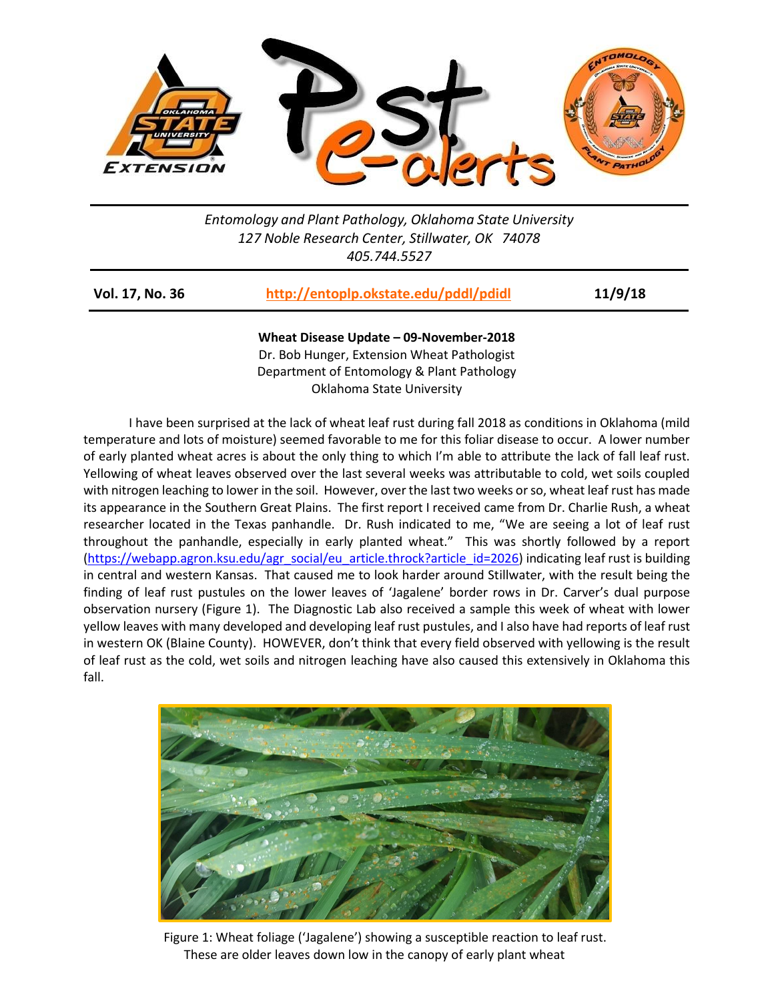

## *Entomology and Plant Pathology, Oklahoma State University 127 Noble Research Center, Stillwater, OK 74078 405.744.5527*

| Vol. 17, No. 36 | http://entoplp.okstate.edu/pddl/pdidl | 11/9/18 |
|-----------------|---------------------------------------|---------|
|-----------------|---------------------------------------|---------|

**Wheat Disease Update – 09-November-2018** Dr. Bob Hunger, Extension Wheat Pathologist Department of Entomology & Plant Pathology Oklahoma State University

I have been surprised at the lack of wheat leaf rust during fall 2018 as conditions in Oklahoma (mild temperature and lots of moisture) seemed favorable to me for this foliar disease to occur. A lower number of early planted wheat acres is about the only thing to which I'm able to attribute the lack of fall leaf rust. Yellowing of wheat leaves observed over the last several weeks was attributable to cold, wet soils coupled with nitrogen leaching to lower in the soil. However, over the last two weeks or so, wheat leaf rust has made its appearance in the Southern Great Plains. The first report I received came from Dr. Charlie Rush, a wheat researcher located in the Texas panhandle. Dr. Rush indicated to me, "We are seeing a lot of leaf rust throughout the panhandle, especially in early planted wheat." This was shortly followed by a report [\(https://webapp.agron.ksu.edu/agr\\_social/eu\\_article.throck?article\\_id=2026\)](https://webapp.agron.ksu.edu/agr_social/eu_article.throck?article_id=2026) indicating leaf rust is building in central and western Kansas. That caused me to look harder around Stillwater, with the result being the finding of leaf rust pustules on the lower leaves of 'Jagalene' border rows in Dr. Carver's dual purpose observation nursery (Figure 1). The Diagnostic Lab also received a sample this week of wheat with lower yellow leaves with many developed and developing leaf rust pustules, and I also have had reports of leaf rust in western OK (Blaine County). HOWEVER, don't think that every field observed with yellowing is the result of leaf rust as the cold, wet soils and nitrogen leaching have also caused this extensively in Oklahoma this fall.



 Figure 1: Wheat foliage ('Jagalene') showing a susceptible reaction to leaf rust. These are older leaves down low in the canopy of early plant wheat